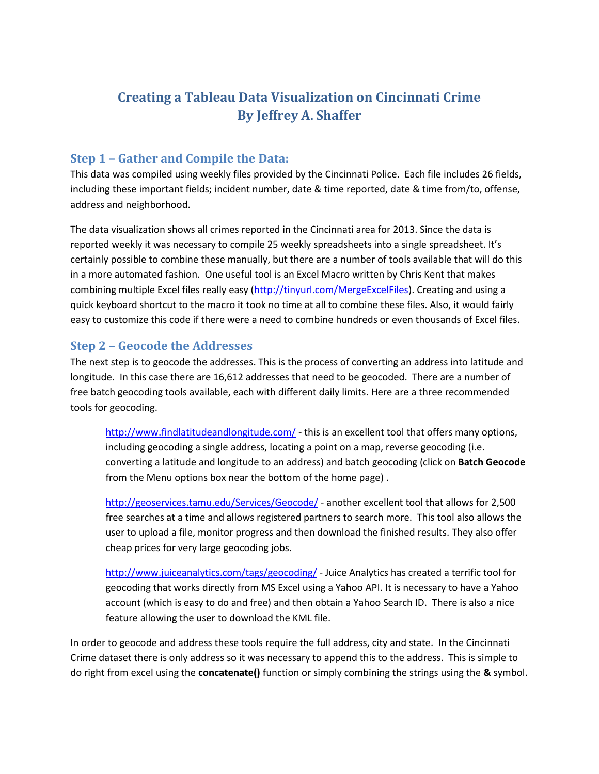# **Creating a Tableau Data Visualization on Cincinnati Crime By Jeffrey A. Shaffer**

# **Step 1 – Gather and Compile the Data:**

This data was compiled using weekly files provided by the Cincinnati Police. Each file includes 26 fields, including these important fields; incident number, date & time reported, date & time from/to, offense, address and neighborhood.

The data visualization shows all crimes reported in the Cincinnati area for 2013. Since the data is reported weekly it was necessary to compile 25 weekly spreadsheets into a single spreadsheet. It's certainly possible to combine these manually, but there are a number of tools available that will do this in a more automated fashion. One useful tool is an Excel Macro written by Chris Kent that makes combining multiple Excel files really easy [\(http://tinyurl.com/MergeExcelFiles\)](http://tinyurl.com/MergeExcelFiles). Creating and using a quick keyboard shortcut to the macro it took no time at all to combine these files. Also, it would fairly easy to customize this code if there were a need to combine hundreds or even thousands of Excel files.

### **Step 2 – Geocode the Addresses**

The next step is to geocode the addresses. This is the process of converting an address into latitude and longitude. In this case there are 16,612 addresses that need to be geocoded. There are a number of free batch geocoding tools available, each with different daily limits. Here are a three recommended tools for geocoding.

<http://www.findlatitudeandlongitude.com/> - this is an excellent tool that offers many options, including geocoding a single address, locating a point on a map, reverse geocoding (i.e. converting a latitude and longitude to an address) and batch geocoding (click on **Batch Geocode** from the Menu options box near the bottom of the home page) .

<http://geoservices.tamu.edu/Services/Geocode/> - another excellent tool that allows for 2,500 free searches at a time and allows registered partners to search more. This tool also allows the user to upload a file, monitor progress and then download the finished results. They also offer cheap prices for very large geocoding jobs.

<http://www.juiceanalytics.com/tags/geocoding/> - Juice Analytics has created a terrific tool for geocoding that works directly from MS Excel using a Yahoo API. It is necessary to have a Yahoo account (which is easy to do and free) and then obtain a Yahoo Search ID. There is also a nice feature allowing the user to download the KML file.

In order to geocode and address these tools require the full address, city and state. In the Cincinnati Crime dataset there is only address so it was necessary to append this to the address. This is simple to do right from excel using the **concatenate()** function or simply combining the strings using the **&** symbol.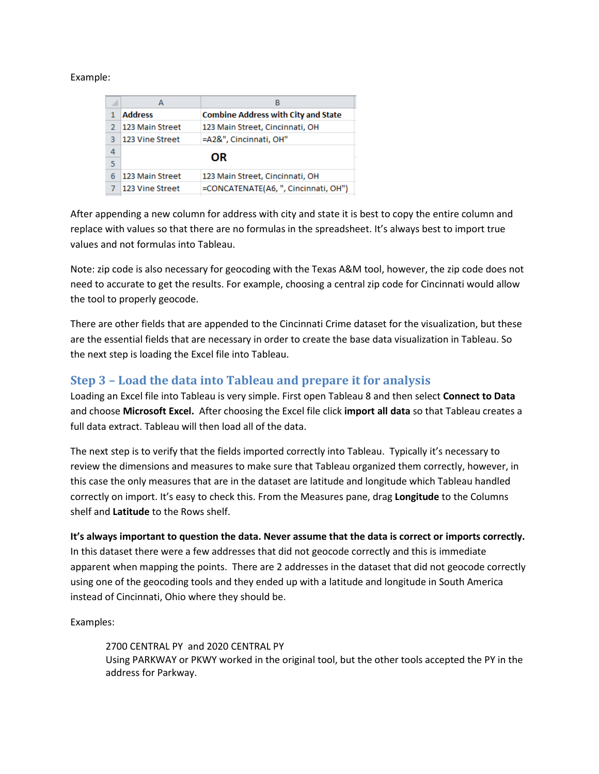#### Example:

| <b>Combine Address with City and State</b> |
|--------------------------------------------|
| 123 Main Street, Cincinnati, OH            |
|                                            |
|                                            |
|                                            |
| 123 Main Street, Cincinnati, OH            |
| =CONCATENATE(A6, ", Cincinnati, OH")       |
|                                            |

After appending a new column for address with city and state it is best to copy the entire column and replace with values so that there are no formulas in the spreadsheet. It's always best to import true values and not formulas into Tableau.

Note: zip code is also necessary for geocoding with the Texas A&M tool, however, the zip code does not need to accurate to get the results. For example, choosing a central zip code for Cincinnati would allow the tool to properly geocode.

There are other fields that are appended to the Cincinnati Crime dataset for the visualization, but these are the essential fields that are necessary in order to create the base data visualization in Tableau. So the next step is loading the Excel file into Tableau.

# **Step 3 – Load the data into Tableau and prepare it for analysis**

Loading an Excel file into Tableau is very simple. First open Tableau 8 and then select **Connect to Data** and choose **Microsoft Excel.** After choosing the Excel file click **import all data** so that Tableau creates a full data extract. Tableau will then load all of the data.

The next step is to verify that the fields imported correctly into Tableau. Typically it's necessary to review the dimensions and measures to make sure that Tableau organized them correctly, however, in this case the only measures that are in the dataset are latitude and longitude which Tableau handled correctly on import. It's easy to check this. From the Measures pane, drag **Longitude** to the Columns shelf and **Latitude** to the Rows shelf.

### **It's always important to question the data. Never assume that the data is correct or imports correctly.**

In this dataset there were a few addresses that did not geocode correctly and this is immediate apparent when mapping the points. There are 2 addresses in the dataset that did not geocode correctly using one of the geocoding tools and they ended up with a latitude and longitude in South America instead of Cincinnati, Ohio where they should be.

Examples:

2700 CENTRAL PY and 2020 CENTRAL PY Using PARKWAY or PKWY worked in the original tool, but the other tools accepted the PY in the address for Parkway.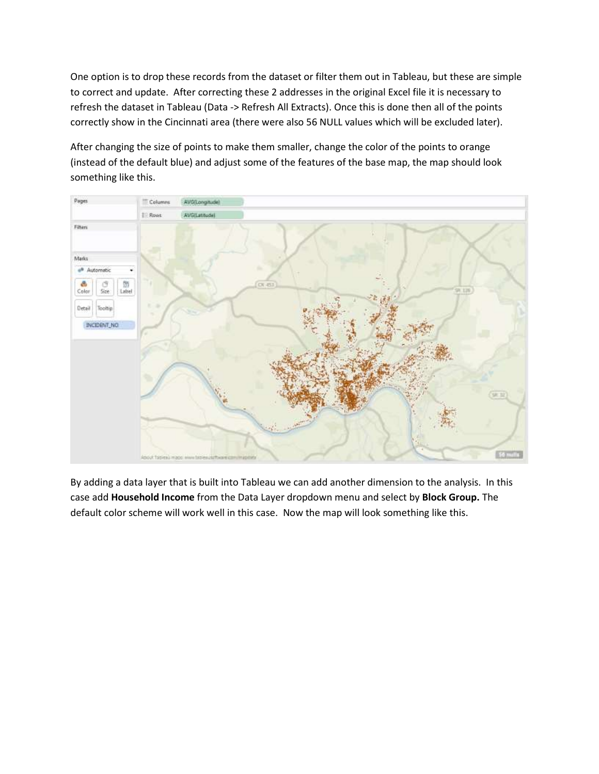One option is to drop these records from the dataset or filter them out in Tableau, but these are simple to correct and update. After correcting these 2 addresses in the original Excel file it is necessary to refresh the dataset in Tableau (Data -> Refresh All Extracts). Once this is done then all of the points correctly show in the Cincinnati area (there were also 56 NULL values which will be excluded later).

After changing the size of points to make them smaller, change the color of the points to orange (instead of the default blue) and adjust some of the features of the base map, the map should look something like this.



By adding a data layer that is built into Tableau we can add another dimension to the analysis. In this case add **Household Income** from the Data Layer dropdown menu and select by **Block Group.** The default color scheme will work well in this case. Now the map will look something like this.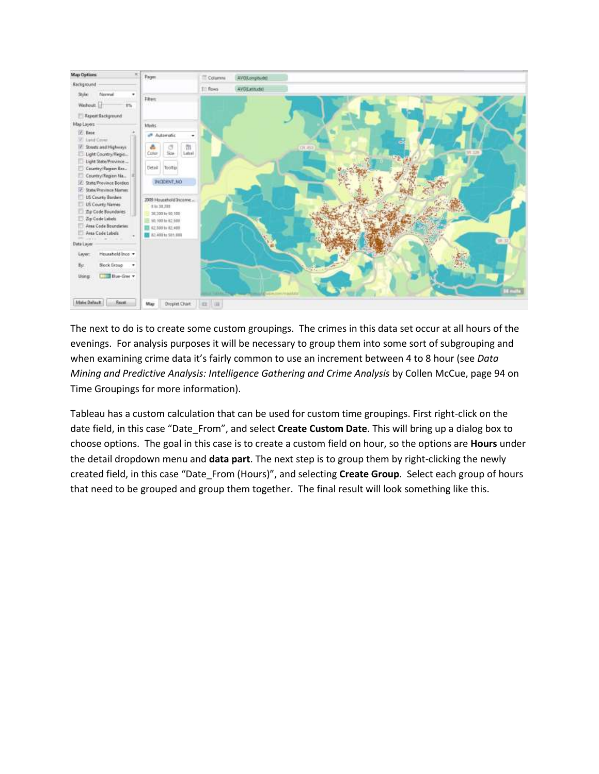

The next to do is to create some custom groupings. The crimes in this data set occur at all hours of the evenings. For analysis purposes it will be necessary to group them into some sort of subgrouping and when examining crime data it's fairly common to use an increment between 4 to 8 hour (see *Data Mining and Predictive Analysis: Intelligence Gathering and Crime Analysis* by Collen McCue, page 94 on Time Groupings for more information).

Tableau has a custom calculation that can be used for custom time groupings. First right-click on the date field, in this case "Date\_From", and select **Create Custom Date**. This will bring up a dialog box to choose options. The goal in this case is to create a custom field on hour, so the options are **Hours** under the detail dropdown menu and **data part**. The next step is to group them by right-clicking the newly created field, in this case "Date\_From (Hours)", and selecting **Create Group**. Select each group of hours that need to be grouped and group them together. The final result will look something like this.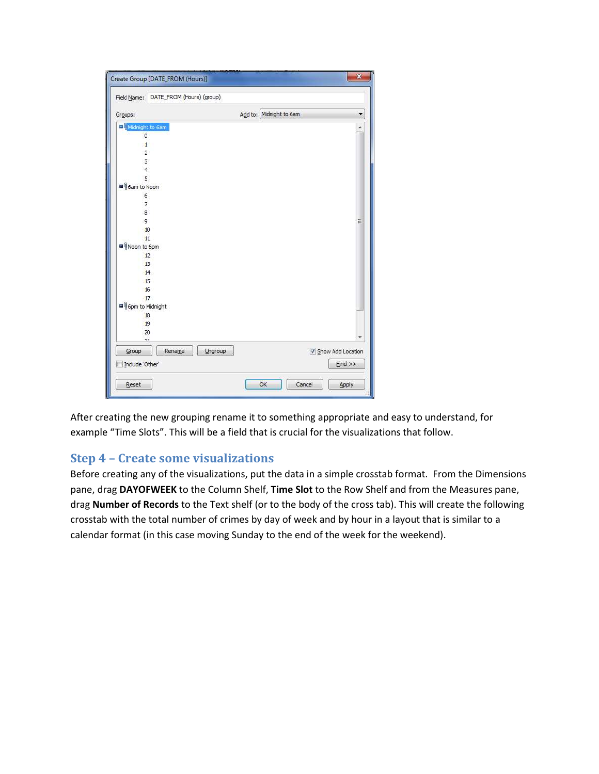| Field Name: DATE_FROM (Hours) (group) |         |                         |                   |
|---------------------------------------|---------|-------------------------|-------------------|
| Groups:                               |         | Add to: Midnight to 6am |                   |
| O Midnight to 6am                     |         |                         |                   |
| $\overline{0}$                        |         |                         |                   |
| $\mathbf{1}$                          |         |                         |                   |
| $\overline{2}$                        |         |                         |                   |
| 3                                     |         |                         |                   |
| $\overline{4}$                        |         |                         |                   |
| 5                                     |         |                         |                   |
| <sup>9</sup> ioam to Noon             |         |                         |                   |
| 6                                     |         |                         |                   |
| 7                                     |         |                         |                   |
| 8                                     |         |                         |                   |
| 9                                     |         |                         | Ξ                 |
| 10                                    |         |                         |                   |
| 11                                    |         |                         |                   |
| ■ Noon to 6pm                         |         |                         |                   |
| 12                                    |         |                         |                   |
| 13                                    |         |                         |                   |
| 14                                    |         |                         |                   |
| 15                                    |         |                         |                   |
| 16                                    |         |                         |                   |
| 17                                    |         |                         |                   |
| ■ 6pm to Midnight                     |         |                         |                   |
| 18                                    |         |                         |                   |
| 19                                    |         |                         |                   |
| 20                                    |         |                         |                   |
| 71                                    |         |                         |                   |
| Group<br>Rename                       | Ungroup |                         | Show Add Location |
| Include 'Other'                       |         |                         | $Find$ >>         |

After creating the new grouping rename it to something appropriate and easy to understand, for example "Time Slots". This will be a field that is crucial for the visualizations that follow.

### **Step 4 – Create some visualizations**

Before creating any of the visualizations, put the data in a simple crosstab format. From the Dimensions pane, drag **DAYOFWEEK** to the Column Shelf, **Time Slot** to the Row Shelf and from the Measures pane, drag **Number of Records** to the Text shelf (or to the body of the cross tab). This will create the following crosstab with the total number of crimes by day of week and by hour in a layout that is similar to a calendar format (in this case moving Sunday to the end of the week for the weekend).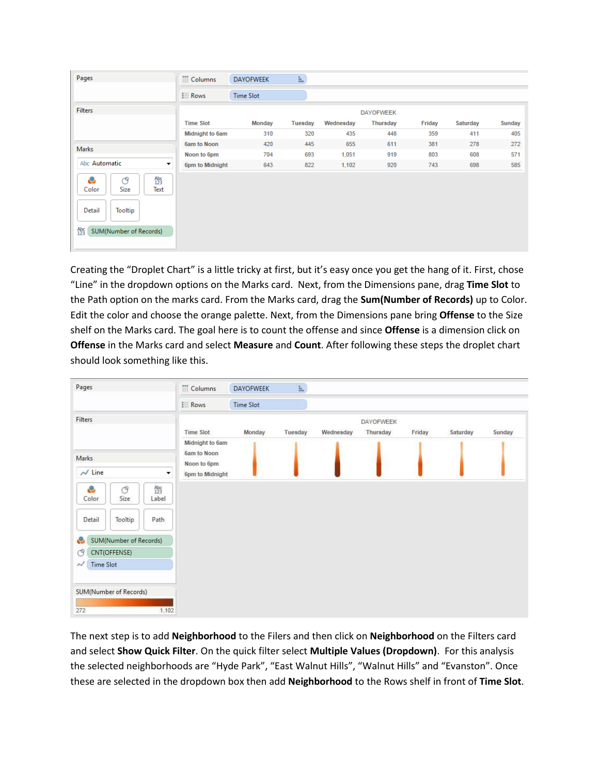| Pages                                                                                                           | iii Columns      | <b>DAYOFWEEK</b> | $\equiv$       |           |                  |        |                 |               |
|-----------------------------------------------------------------------------------------------------------------|------------------|------------------|----------------|-----------|------------------|--------|-----------------|---------------|
|                                                                                                                 | $\equiv$ Rows    | <b>Time Slot</b> |                |           |                  |        |                 |               |
| <b>Filters</b>                                                                                                  |                  |                  |                |           | <b>DAYOFWEEK</b> |        |                 |               |
|                                                                                                                 | <b>Time Slot</b> | Monday           | <b>Tuesday</b> | Wednesday | <b>Thursday</b>  | Friday | <b>Saturday</b> | <b>Sunday</b> |
|                                                                                                                 | Midnight to 6am  | 310              | 320            | 435       | 448              | 359    | 411             | 405           |
| Marks                                                                                                           | 6am to Noon      | 420              | 445            | 655       | 611              | 381    | 278             | 272           |
|                                                                                                                 | Noon to 6pm      | 704              | 693            | 1,051     | 919              | 803    | 608             | 571           |
| Abc Automatic<br>▾                                                                                              | 6pm to Midnight  | 643              | 822            | 1,102     | 920              | 743    | 698             | 585           |
| e<br>Abc<br>123<br>ල<br>Size<br>Color<br>Text<br>Detail<br>Tooltip<br>A <sub>23</sub><br>SUM(Number of Records) |                  |                  |                |           |                  |        |                 |               |

Creating the "Droplet Chart" is a little tricky at first, but it's easy once you get the hang of it. First, chose "Line" in the dropdown options on the Marks card. Next, from the Dimensions pane, drag **Time Slot** to the Path option on the marks card. From the Marks card, drag the **Sum(Number of Records)** up to Color. Edit the color and choose the orange palette. Next, from the Dimensions pane bring **Offense** to the Size shelf on the Marks card. The goal here is to count the offense and since **Offense** is a dimension click on **Offense** in the Marks card and select **Measure** and **Count**. After following these steps the droplet chart should look something like this.

| Pages                                                    | Columns                    | <b>DAYOFWEEK</b> | Ł.      |           |                       |        |          |        |
|----------------------------------------------------------|----------------------------|------------------|---------|-----------|-----------------------|--------|----------|--------|
|                                                          | <b>Rows</b>                | Time Slot        |         |           |                       |        |          |        |
| Filters                                                  | Time Slot                  | Monday           | Tuesday | Wednesday | DAYOFWEEK<br>Thursday | Friday | Saturday | Sunday |
|                                                          | Midnight to 6am            |                  |         |           |                       |        |          |        |
| <b>Marks</b>                                             | 6am to Noon<br>Noon to 6pm |                  |         |           |                       |        |          |        |
| $\sim$ Line<br>×                                         | 6pm to Midnight            |                  |         |           |                       |        |          |        |
| $A_{23}^{abc}$<br>ô<br>$\circ$<br>Color<br>Size<br>Label |                            |                  |         |           |                       |        |          |        |
| Tooltip<br>Path<br>Detail                                |                            |                  |         |           |                       |        |          |        |
| SUM(Number of Records)<br>e                              |                            |                  |         |           |                       |        |          |        |
| CNT(OFFENSE)<br>O                                        |                            |                  |         |           |                       |        |          |        |
| ńł<br>Time Slot                                          |                            |                  |         |           |                       |        |          |        |
| SUM(Number of Records)                                   |                            |                  |         |           |                       |        |          |        |
| 272<br>1,102                                             |                            |                  |         |           |                       |        |          |        |

The next step is to add **Neighborhood** to the Filers and then click on **Neighborhood** on the Filters card and select **Show Quick Filter**. On the quick filter select **Multiple Values (Dropdown)**. For this analysis the selected neighborhoods are "Hyde Park", "East Walnut Hills", "Walnut Hills" and "Evanston". Once these are selected in the dropdown box then add **Neighborhood** to the Rows shelf in front of **Time Slot**.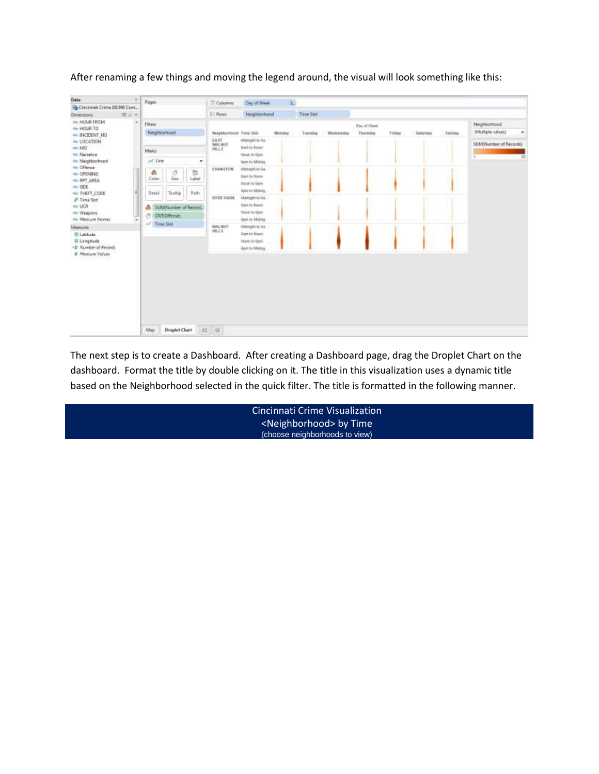| Data                               | Pages                  |                      |                       | Columns                               | Day of Week                         | k)     |           |                    |          |               |          |                        |                                |  |
|------------------------------------|------------------------|----------------------|-----------------------|---------------------------------------|-------------------------------------|--------|-----------|--------------------|----------|---------------|----------|------------------------|--------------------------------|--|
| SA Cinzinnati Crime 201306 Com     |                        |                      |                       |                                       |                                     |        |           |                    |          |               |          |                        |                                |  |
| Dimensions<br>間前半<br>AN: HOUR FROM |                        |                      |                       | I Rives                               | Neighborhood                        |        | Time Skit |                    |          |               |          |                        |                                |  |
| IN: HOUR TO                        | Fiten:                 |                      |                       |                                       |                                     |        |           | Day of thee.       |          |               |          | Neighborhood           |                                |  |
| HE INCIDENT NO                     | Neighborhood           |                      |                       | <b>Neighborhood</b> Time Skd          |                                     | Mendas |           | Transday Wednesday | Thatsday | <b>Triday</b> | Saturday | Sambay                 | (Multiple values)<br>$\bullet$ |  |
| AN LOCATION<br>Atc MO              |                        |                      | EAST<br><b>WALNUT</b> | Mengel to 6a .<br><b>Bank to News</b> |                                     |        |           |                    |          |               |          | SUM/Number of Records) |                                |  |
| ne Nansbye                         | Marks:                 |                      |                       |                                       | Stock to Gem                        |        |           |                    |          |               |          |                        |                                |  |
| <b>He Neighborhood</b>             | $1/1$ line             |                      | $\bullet$             |                                       | Spire to Silving                    |        |           |                    |          |               |          |                        | 24<br>t.                       |  |
| Inc. Offense                       |                        |                      |                       | EVANSTON                              | Minnight to Ga.                     |        |           |                    |          |               |          |                        |                                |  |
| Fix: 0PER@45                       | ð.<br>Color            | đ<br><b>Size</b>     | 恆<br>Label            |                                       | tiant to Noun.                      |        |           |                    |          |               |          |                        |                                |  |
| Hic SPT AREA<br>Alc. SDE           |                        |                      |                       |                                       | Moon to Apre                        |        |           |                    |          |               |          |                        |                                |  |
| 46: THEFT CODE                     | Detail                 | Toolfin              | Path                  | <b>INTER PARK</b>                     | ford to Midnig                      |        |           |                    |          |               |          |                        |                                |  |
| JP Time Slot                       |                        |                      |                       |                                       | Mainight to Ga.                     |        |           |                    |          |               |          |                        |                                |  |
| Ale: UCR                           | & EUWNumber of Record. | <b>Gare to Hourt</b> |                       |                                       |                                     |        |           |                    |          |               |          |                        |                                |  |
| Air Weapons                        | C CNTIDITensel         |                      |                       | Moori its Apen                        |                                     |        |           |                    |          |               |          |                        |                                |  |
| Ale: Measure Names                 | A Librar Stok          |                      | <b>WALNUT</b>         |                                       | Spre to Midnig.<br>Malelgihi to its |        |           |                    |          |               |          |                        |                                |  |
| Measures<br>III Latitude           |                        |                      |                       | HILLS                                 | Gare to Hourt                       |        |           |                    |          |               |          |                        |                                |  |
| III Longitude                      |                        |                      |                       | Moore to Open                         |                                     |        |           |                    |          |               |          |                        |                                |  |
| -# Number of Records               |                        |                      |                       |                                       | Horn to Micross                     |        |           |                    |          |               |          |                        |                                |  |
| # Measure Volves                   |                        |                      |                       |                                       |                                     |        |           |                    |          |               |          |                        |                                |  |
|                                    |                        |                      |                       |                                       |                                     |        |           |                    |          |               |          |                        |                                |  |
|                                    |                        |                      |                       |                                       |                                     |        |           |                    |          |               |          |                        |                                |  |
|                                    |                        |                      |                       |                                       |                                     |        |           |                    |          |               |          |                        |                                |  |
|                                    |                        |                      |                       |                                       |                                     |        |           |                    |          |               |          |                        |                                |  |
|                                    |                        |                      |                       |                                       |                                     |        |           |                    |          |               |          |                        |                                |  |
|                                    |                        |                      |                       |                                       |                                     |        |           |                    |          |               |          |                        |                                |  |
|                                    |                        |                      |                       |                                       |                                     |        |           |                    |          |               |          |                        |                                |  |
|                                    |                        |                      |                       |                                       |                                     |        |           |                    |          |               |          |                        |                                |  |
|                                    | Map                    | Draplet Chart        |                       | 日日                                    |                                     |        |           |                    |          |               |          |                        |                                |  |
|                                    |                        |                      |                       |                                       |                                     |        |           |                    |          |               |          |                        |                                |  |

After renaming a few things and moving the legend around, the visual will look something like this:

The next step is to create a Dashboard. After creating a Dashboard page, drag the Droplet Chart on the dashboard. Format the title by double clicking on it. The title in this visualization uses a dynamic title based on the Neighborhood selected in the quick filter. The title is formatted in the following manner.

| Cincinnati Crime Visualization        |  |
|---------------------------------------|--|
| <neighborhood> by Time</neighborhood> |  |
| (choose neighborhoods to view)        |  |
|                                       |  |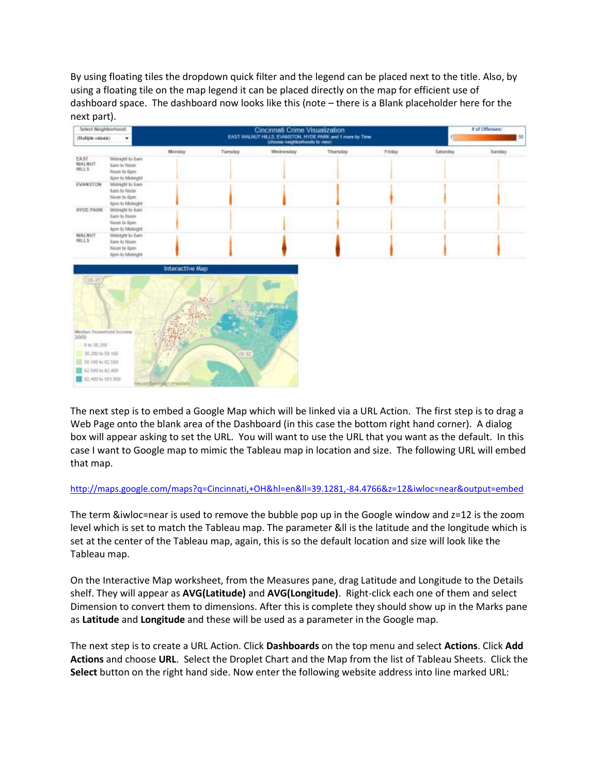By using floating tiles the dropdown quick filter and the legend can be placed next to the title. Also, by using a floating tile on the map legend it can be placed directly on the map for efficient use of dashboard space. The dashboard now looks like this (note – there is a Blank placeholder here for the next part).

| Select Neighborhood:<br>(Multiple values) | ٠                                                                               |                       |               | Cincinnati Crime Visualization<br>EAST WALNUT HILLS, EVANSTON, HYDE PARK and 1 more by Time (choose neighborhoods to vew) |           |        | # of Offenses:<br>150 |        |
|-------------------------------------------|---------------------------------------------------------------------------------|-----------------------|---------------|---------------------------------------------------------------------------------------------------------------------------|-----------|--------|-----------------------|--------|
|                                           |                                                                                 | Monday                | Timsday       | Wednesday                                                                                                                 | Thursday. | Friday | Saturday              | Tunday |
| <b>EAST</b><br>WALNUT<br><b>HILLS</b>     | Midnight to Gam<br>Earn to Node<br>Noon to 6pm<br>(pin to Midnight              |                       |               |                                                                                                                           |           |        |                       |        |
| EVANSTON                                  | Midnight to dam<br><b>Gam to Noon</b><br>Noon to Spre.<br>Epre to Midnight      |                       |               |                                                                                                                           |           |        |                       |        |
| <b>HYDE PARK</b>                          | Midraght to 6am<br>Earn to Noon<br>Nasn fa 6pm<br>Epim to Midnight              |                       |               |                                                                                                                           |           |        |                       |        |
| <b>WALNUT</b><br>HILLS                    | Midnight to Gam<br><b>Gam to Noon</b><br>Noon to 6pm<br><b>Gors to Michight</b> |                       |               |                                                                                                                           |           |        |                       |        |
|                                           |                                                                                 | Interactive Map       |               |                                                                                                                           | m         |        |                       |        |
| US 27<br>12009<br>U to 30,200             | Median flourebold transme                                                       |                       |               |                                                                                                                           |           |        |                       |        |
| 38.200 to 50.100                          |                                                                                 |                       | <b>CIL 52</b> |                                                                                                                           |           |        |                       |        |
| 50.000 to 62.500                          |                                                                                 |                       |               |                                                                                                                           |           |        |                       |        |
| 42,500 to 82,490                          |                                                                                 |                       |               |                                                                                                                           |           |        |                       |        |
| #2.400 to 501,000                         |                                                                                 | flater e plimane date |               |                                                                                                                           |           |        |                       |        |

The next step is to embed a Google Map which will be linked via a URL Action. The first step is to drag a Web Page onto the blank area of the Dashboard (in this case the bottom right hand corner). A dialog box will appear asking to set the URL. You will want to use the URL that you want as the default. In this case I want to Google map to mimic the Tableau map in location and size. The following URL will embed that map.

#### <http://maps.google.com/maps?q=Cincinnati,+OH&hl=en&ll=39.1281,-84.4766&z=12&iwloc=near&output=embed>

The term &iwloc=near is used to remove the bubble pop up in the Google window and z=12 is the zoom level which is set to match the Tableau map. The parameter &ll is the latitude and the longitude which is set at the center of the Tableau map, again, this is so the default location and size will look like the Tableau map.

On the Interactive Map worksheet, from the Measures pane, drag Latitude and Longitude to the Details shelf. They will appear as **AVG(Latitude)** and **AVG(Longitude)**. Right-click each one of them and select Dimension to convert them to dimensions. After this is complete they should show up in the Marks pane as **Latitude** and **Longitude** and these will be used as a parameter in the Google map.

The next step is to create a URL Action. Click **Dashboards** on the top menu and select **Actions**. Click **Add Actions** and choose **URL**. Select the Droplet Chart and the Map from the list of Tableau Sheets. Click the **Select** button on the right hand side. Now enter the following website address into line marked URL: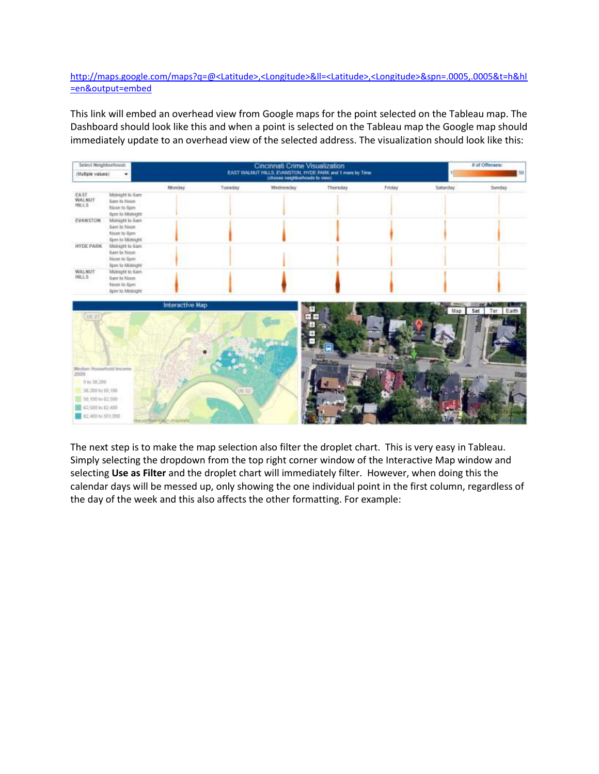### [http://maps.google.com/maps?q=@<Latitude>,<Longitude>&ll=<Latitude>,<Longitude>&spn=.0005,.0005&t=h&hl](http://maps.google.com/maps?q=@%3cLatitude%3e,%3cLongitude%3e&ll=%3cLatitude%3e,%3cLongitude%3e&spn=.0005,.0005&t=h&hl=en&output=embed) [=en&output=embed](http://maps.google.com/maps?q=@%3cLatitude%3e,%3cLongitude%3e&ll=%3cLatitude%3e,%3cLongitude%3e&spn=.0005,.0005&t=h&hl=en&output=embed)

This link will embed an overhead view from Google maps for the point selected on the Tableau map. The Dashboard should look like this and when a point is selected on the Tableau map the Google map should immediately update to an overhead view of the selected address. The visualization should look like this:



The next step is to make the map selection also filter the droplet chart. This is very easy in Tableau. Simply selecting the dropdown from the top right corner window of the Interactive Map window and selecting **Use as Filter** and the droplet chart will immediately filter. However, when doing this the calendar days will be messed up, only showing the one individual point in the first column, regardless of the day of the week and this also affects the other formatting. For example: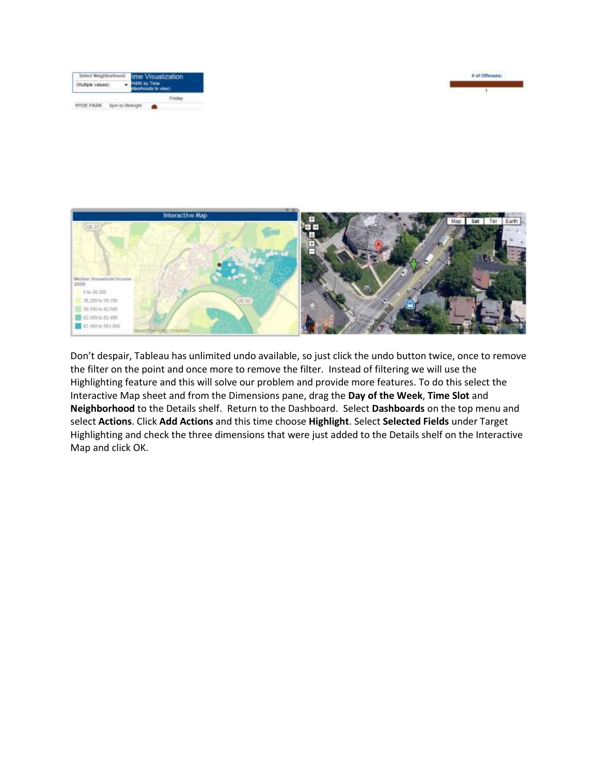





Don't despair, Tableau has unlimited undo available, so just click the undo button twice, once to remove the filter on the point and once more to remove the filter. Instead of filtering we will use the Highlighting feature and this will solve our problem and provide more features. To do this select the Interactive Map sheet and from the Dimensions pane, drag the **Day of the Week**, **Time Slot** and **Neighborhood** to the Details shelf. Return to the Dashboard. Select **Dashboards** on the top menu and select **Actions**. Click **Add Actions** and this time choose **Highlight**. Select **Selected Fields** under Target Highlighting and check the three dimensions that were just added to the Details shelf on the Interactive Map and click OK.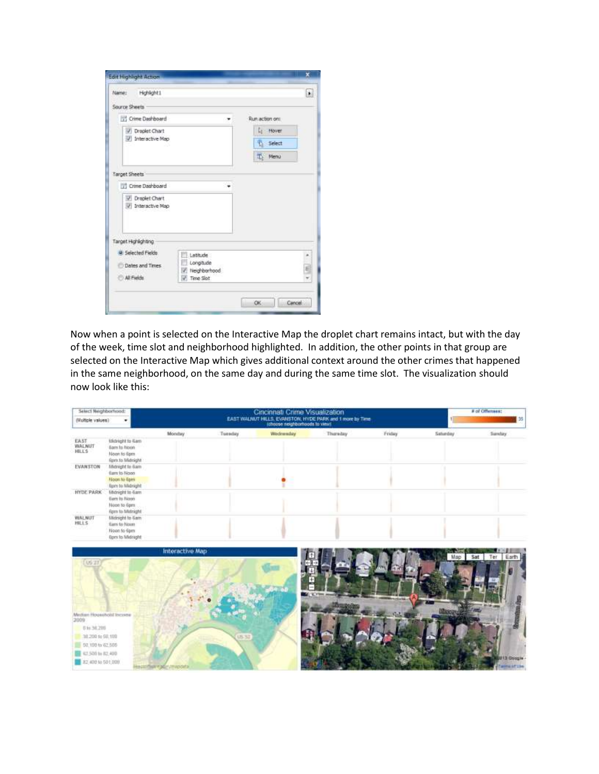| Highlight1<br>Name:                               |                                                               |                                                       | Þ. |
|---------------------------------------------------|---------------------------------------------------------------|-------------------------------------------------------|----|
| Source Sheets                                     |                                                               |                                                       |    |
| Crime Deshboard                                   | $\overline{\phantom{a}}$                                      | Run action on:                                        |    |
| 7 Droplet Chart<br>/ Interactive Map              |                                                               | L <sub>t</sub> Hover<br><sup>1</sup> Select<br>T Menu |    |
| <b>Target Sheets</b><br><b>TI Crime Dashboard</b> |                                                               |                                                       |    |
| <b>V</b> Draplet Chart<br>/ Interactive Map       |                                                               |                                                       |    |
| Target Highlighting                               |                                                               |                                                       |    |
| @ Selected Fields<br>Dates and Times              | Latitude<br>Longitude<br>Neighborhood<br>w,<br>Time Slot<br>J |                                                       | 5  |

Now when a point is selected on the Interactive Map the droplet chart remains intact, but with the day of the week, time slot and neighborhood highlighted. In addition, the other points in that group are selected on the Interactive Map which gives additional context around the other crimes that happened in the same neighborhood, on the same day and during the same time slot. The visualization should now look like this:

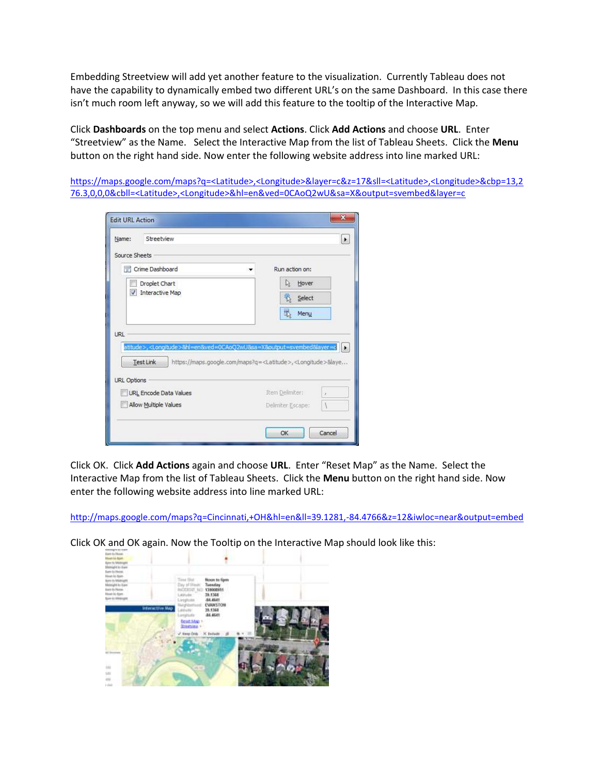Embedding Streetview will add yet another feature to the visualization. Currently Tableau does not have the capability to dynamically embed two different URL's on the same Dashboard. In this case there isn't much room left anyway, so we will add this feature to the tooltip of the Interactive Map.

Click **Dashboards** on the top menu and select **Actions**. Click **Add Actions** and choose **URL**. Enter "Streetview" as the Name. Select the Interactive Map from the list of Tableau Sheets. Click the **Menu** button on the right hand side. Now enter the following website address into line marked URL:

[https://maps.google.com/maps?q=<Latitude>,<Longitude>&layer=c&z=17&sll=<Latitude>,<Longitude>&cbp=13,2](https://maps.google.com/maps?q=%3cLatitude%3e,%3cLongitude%3e&layer=c&z=17&sll=%3cLatitude%3e,%3cLongitude%3e&cbp=13,276.3,0,0,0&cbll=%3cLatitude%3e,%3cLongitude%3e&hl=en&ved=0CAoQ2wU&sa=X&output=svembed&layer=c) [76.3,0,0,0&cbll=<Latitude>,<Longitude>&hl=en&ved=0CAoQ2wU&sa=X&output=svembed&layer=c](https://maps.google.com/maps?q=%3cLatitude%3e,%3cLongitude%3e&layer=c&z=17&sll=%3cLatitude%3e,%3cLongitude%3e&cbp=13,276.3,0,0,0&cbll=%3cLatitude%3e,%3cLongitude%3e&hl=en&ved=0CAoQ2wU&sa=X&output=svembed&layer=c)

|                                                                                           | ⊧                                                                                                                                                                                              |
|-------------------------------------------------------------------------------------------|------------------------------------------------------------------------------------------------------------------------------------------------------------------------------------------------|
| Source Sheets                                                                             |                                                                                                                                                                                                |
| Crime Dashboard                                                                           | Run action on:                                                                                                                                                                                 |
| Droplet Chart                                                                             | Hover<br>્રિ                                                                                                                                                                                   |
| <b>V</b> Interactive Map                                                                  | 養<br>Select                                                                                                                                                                                    |
|                                                                                           | 最<br>Menu                                                                                                                                                                                      |
| URL                                                                                       | atitude>, <longitude>&amp;hl=en&amp;ved=0CAoQ2wU&amp;sa=X&amp;output=svembed&amp;layer=c<br/>https://maps.google.com/maps?g=<latitude>,<longitude>&amp;laye</longitude></latitude></longitude> |
| <b>Test Link</b><br><b>URL Options</b><br>URL Encode Data Values<br>Allow Multiple Values | Item Delimiter:<br>O.<br>À<br>Delmiter Escape:                                                                                                                                                 |

Click OK. Click **Add Actions** again and choose **URL**. Enter "Reset Map" as the Name. Select the Interactive Map from the list of Tableau Sheets. Click the **Menu** button on the right hand side. Now enter the following website address into line marked URL:

<http://maps.google.com/maps?q=Cincinnati,+OH&hl=en&ll=39.1281,-84.4766&z=12&iwloc=near&output=embed>

Click OK and OK again. Now the Tooltip on the Interactive Map should look like this:

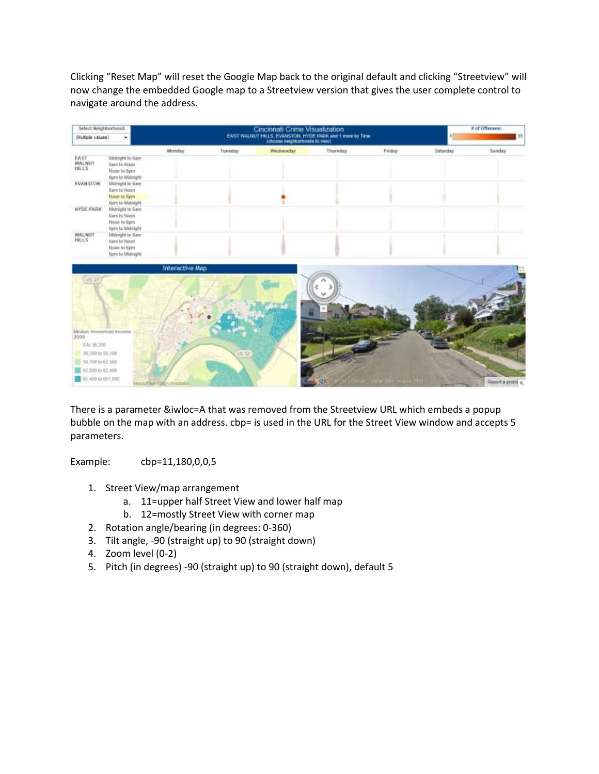Clicking "Reset Map" will reset the Google Map back to the original default and clicking "Streetview" will now change the embedded Google map to a Streetview version that gives the user complete control to navigate around the address.

| Select Neighborhood:<br>(Multiple values) |                                                                                          |                        |          | # of Offenses<br>35 |              |                      |          |                     |
|-------------------------------------------|------------------------------------------------------------------------------------------|------------------------|----------|---------------------|--------------|----------------------|----------|---------------------|
|                                           |                                                                                          | Montay                 | Tuesday: | Wednesday           | Thursday     | Friday               | Saturday | Sunday              |
| EAST<br><b>WALNUT</b><br>HILLS            | Michsight to Sam<br>Sam to Noon<br>Noon to Sprn<br><b>Rom to Midright</b>                |                        |          |                     |              |                      |          |                     |
| EVANSTON                                  | Midnight to Gam<br><b>Barn to Noon</b><br><b>Noon to Gam</b><br><b>Gprin to Midraght</b> |                        |          |                     |              |                      |          |                     |
| <b>HYDE PARK</b>                          | Midnight to 6am<br><b>Barn by Noon</b><br>Noon to tipm<br>Figen to Midnight              |                        |          |                     |              |                      |          |                     |
| <b>WALNUT</b><br>HILLS                    | Midnight to Gam<br><b>Barn to Noon</b><br>Noon to Spro<br><b>Darry to Midnight</b>       |                        |          |                     |              |                      |          |                     |
| (18.22)                                   |                                                                                          | <b>Interactive Map</b> |          |                     |              |                      |          |                     |
| Median Hoosehold Inquirie                 |                                                                                          |                        |          |                     |              |                      |          |                     |
| 2009<br>0 to 50,300<br>31,200 to 50,100   |                                                                                          |                        |          |                     |              |                      |          |                     |
| 50,100 to 62.500<br>62,500 to 82,400      |                                                                                          |                        |          |                     |              |                      |          |                     |
| #2.400 to 501,000                         |                                                                                          |                        |          |                     | <b>Rolle</b> | auf Dale-August 2003 |          | Report a profile of |

There is a parameter &iwloc=A that was removed from the Streetview URL which embeds a popup bubble on the map with an address. cbp= is used in the URL for the Street View window and accepts 5 parameters.

Example: cbp=11,180,0,0,5

- 1. Street View/map arrangement
	- a. 11=upper half Street View and lower half map
	- b. 12=mostly Street View with corner map
- 2. Rotation angle/bearing (in degrees: 0-360)
- 3. Tilt angle, -90 (straight up) to 90 (straight down)
- 4. Zoom level (0-2)
- 5. Pitch (in degrees) -90 (straight up) to 90 (straight down), default 5